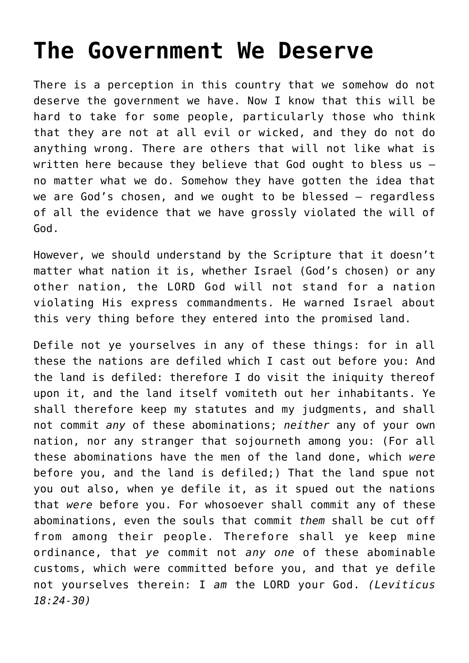## **[The Government We Deserve](http://reproachofmen.org/2007/06/the-government-we-deserve/)**

There is a perception in this country that we somehow do not deserve the government we have. Now I know that this will be hard to take for some people, particularly those who think that they are not at all evil or wicked, and they do not do anything wrong. There are others that will not like what is written here because they believe that God ought to bless us no matter what we do. Somehow they have gotten the idea that we are God's chosen, and we ought to be blessed — regardless of all the evidence that we have grossly violated the will of God.

However, we should understand by the Scripture that it doesn't matter what nation it is, whether Israel (God's chosen) or any other nation, the LORD God will not stand for a nation violating His express commandments. He warned Israel about this very thing before they entered into the promised land.

Defile not ye yourselves in any of these things: for in all these the nations are defiled which I cast out before you: And the land is defiled: therefore I do visit the iniquity thereof upon it, and the land itself vomiteth out her inhabitants. Ye shall therefore keep my statutes and my judgments, and shall not commit *any* of these abominations; *neither* any of your own nation, nor any stranger that sojourneth among you: (For all these abominations have the men of the land done, which *were* before you, and the land is defiled;) That the land spue not you out also, when ye defile it, as it spued out the nations that *were* before you. For whosoever shall commit any of these abominations, even the souls that commit *them* shall be cut off from among their people. Therefore shall ve keep mine ordinance, that *ye* commit not *any one* of these abominable customs, which were committed before you, and that ye defile not yourselves therein: I *am* the LORD your God. *(Leviticus 18:24-30)*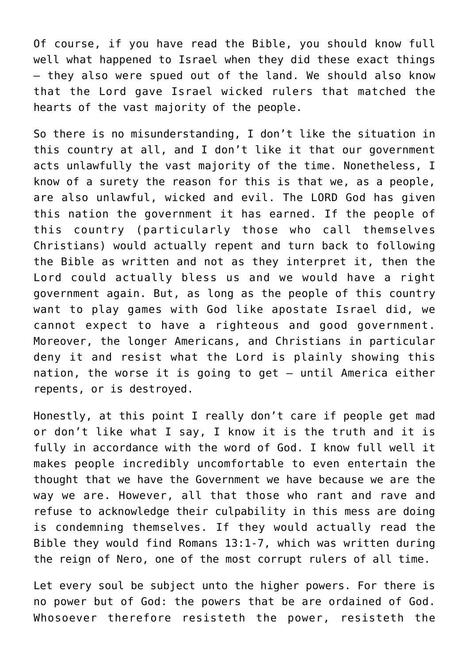Of course, if you have read the Bible, you should know full well what happened to Israel when they did these exact things – they also were spued out of the land. We should also know that the Lord gave Israel wicked rulers that matched the hearts of the vast majority of the people.

So there is no misunderstanding, I don't like the situation in this country at all, and I don't like it that our government acts unlawfully the vast majority of the time. Nonetheless, I know of a surety the reason for this is that we, as a people, are also unlawful, wicked and evil. The LORD God has given this nation the government it has earned. If the people of this country (particularly those who call themselves Christians) would actually repent and turn back to following the Bible as written and not as they interpret it, then the Lord could actually bless us and we would have a right government again. But, as long as the people of this country want to play games with God like apostate Israel did, we cannot expect to have a righteous and good government. Moreover, the longer Americans, and Christians in particular deny it and resist what the Lord is plainly showing this nation, the worse it is going to get — until America either repents, or is destroyed.

Honestly, at this point I really don't care if people get mad or don't like what I say, I know it is the truth and it is fully in accordance with the word of God. I know full well it makes people incredibly uncomfortable to even entertain the thought that we have the Government we have because we are the way we are. However, all that those who rant and rave and refuse to acknowledge their culpability in this mess are doing is condemning themselves. If they would actually read the Bible they would find Romans 13:1-7, which was written during the reign of Nero, one of the most corrupt rulers of all time.

Let every soul be subject unto the higher powers. For there is no power but of God: the powers that be are ordained of God. Whosoever therefore resisteth the power, resisteth the